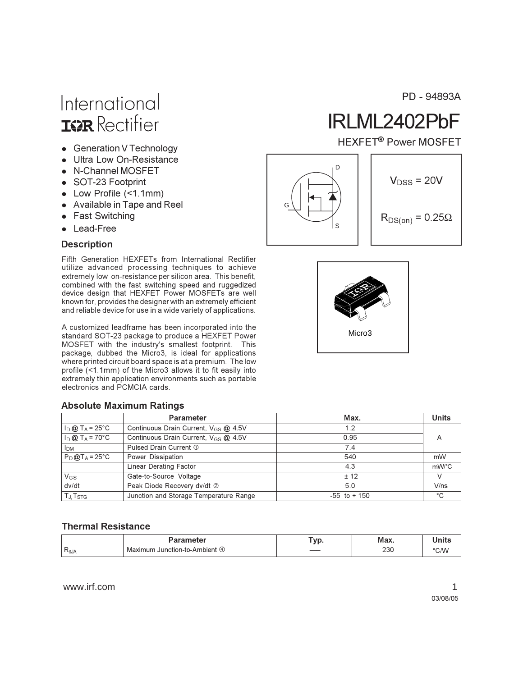# International **ISR** Rectifier

- Generation V Technology
- Ultra Low On-Resistance
- N-Channel MOSFFT
- SOT-23 Footprint
- $\bullet$  Low Profile (<1.1mm)
- Available in Tape and Reel
- Fast Switching
- Lead-Free

#### **Description**

Fifth Generation HEXFETs from International Rectifier utilize advanced processing techniques to achieve extremely low on-resistance per silicon area. This benefit, combined with the fast switching speed and ruggedized device design that HEXFET Power MOSFETs are well known for, provides the designer with an extremely efficient and reliable device for use in a wide variety of applications.

A customized leadframe has been incorporated into the standard SOT-23 package to produce a HEXFET Power MOSFET with the industry's smallest footprint. This package, dubbed the Micro3, is ideal for applications where printed circuit board space is at a premium. The low profile (<1.1mm) of the Micro3 allows it to fit easily into extremely thin application environments such as portable electronics and PCMCIA cards.

#### **Absolute Maximum Ratings**

|                                   | <b>Parameter</b>                                 | Max.            | <b>Units</b> |
|-----------------------------------|--------------------------------------------------|-----------------|--------------|
| $I_D @ T_A = 25^{\circ}C$         | Continuous Drain Current, $V_{GS}$ $\omega$ 4.5V | 1.2             |              |
| $1_D @ T_A = 70^{\circ}C$         | Continuous Drain Current, $V_{CS}$ @ 4.5V        | 0.95            | A            |
| <b>I<sub>DM</sub></b>             | Pulsed Drain Current 1                           | 7.4             |              |
| $P_D@T_A = 25°C$                  | Power Dissipation                                | 540             | mW           |
|                                   | Linear Derating Factor                           | 4.3             | mW/°C        |
| $V_{GS}$                          | Gate-to-Source Voltage                           | ± 12            |              |
| dv/dt                             | Peak Diode Recovery dv/dt 2                      | 5.0             | V/ns         |
| T <sub>J</sub> , T <sub>STG</sub> | Junction and Storage Temperature Range           | $-55$ to $+150$ | °C           |

#### **Thermal Resistance**

|             |                                           | $\mathbf{m}$ | Mov |  |
|-------------|-------------------------------------------|--------------|-----|--|
| <b>ROJA</b> | num<br>ction<br>hier<br>Ma<br><br>$\cdot$ |              | 230 |  |

www.irf.com

PD - 94893A

# IRLML2402PbF

**HEXFET<sup>®</sup> Power MOSFET** 



$$
V_{DSS} = 20V
$$

 $R_{DS(on)} = 0.25\Omega$ 

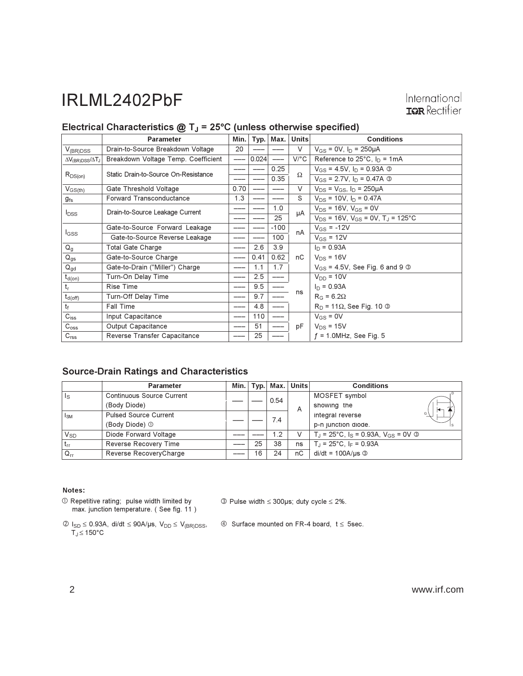### Electrical Characteristics  $@T_J = 25°C$  (unless otherwise specified)

|                                           | <b>Parameter</b>                     | Min. | Typ.  | Max.   | Units   | <b>Conditions</b>                                     |
|-------------------------------------------|--------------------------------------|------|-------|--------|---------|-------------------------------------------------------|
| $V_{(BR)DSS}$                             | Drain-to-Source Breakdown Voltage    | 20   |       |        | $\vee$  | $V_{GS} = 0V$ , $I_D = 250 \mu A$                     |
| $\Delta V_{\rm (BR)DSS}/\Delta T_{\rm J}$ | Breakdown Voltage Temp. Coefficient  |      | 0.024 | $---$  | $V$ /°C | Reference to $25^{\circ}$ C, $I_D = 1mA$              |
| $R_{DS(on)}$                              | Static Drain-to-Source On-Resistance |      |       | 0.25   | Ω       | $V_{GS}$ = 4.5V, $I_D$ = 0.93A $\circledcirc$         |
|                                           |                                      |      |       | 0.35   |         | $V_{GS}$ = 2.7V, $I_D$ = 0.47A $\circledcirc$         |
| $V_{GS(th)}$                              | Gate Threshold Voltage               | 0.70 |       |        | $\vee$  | $V_{DS} = V_{GS}$ , $I_D = 250 \mu A$                 |
| $g_{\rm fs}$                              | <b>Forward Transconductance</b>      | 1.3  |       |        | S       | $V_{DS}$ = 10V, $I_D$ = 0.47A                         |
| $I_{DSS}$                                 | Drain-to-Source Leakage Current      |      |       | 1.0    | μA      | $V_{DS}$ = 16V, $V_{GS}$ = 0V                         |
|                                           |                                      |      |       | 25     |         | $V_{DS}$ = 16V, $V_{GS}$ = 0V, T <sub>J</sub> = 125°C |
|                                           | Gate-to-Source Forward Leakage       |      |       | $-100$ | nA      | $V_{GS} = -12V$                                       |
| l <sub>GSS</sub>                          | Gate-to-Source Reverse Leakage       |      |       | 100    |         | $V_{GS}$ = 12V                                        |
| $Q_g$                                     | Total Gate Charge                    |      | 2.6   | 3.9    |         | $I_D = 0.93A$                                         |
| $Q_{gs}$                                  | Gate-to-Source Charge                |      | 0.41  | 0.62   | nC      | $V_{DS}$ = 16V                                        |
| $Q_{gd}$                                  | Gate-to-Drain ("Miller") Charge      |      | 1.1   | 1.7    |         | $V_{GS}$ = 4.5V, See Fig. 6 and 9 $\circledcirc$      |
| $t_{d(on)}$                               | Turn-On Delay Time                   |      | 2.5   | $---$  |         | $V_{DD} = 10V$                                        |
| $t_{r}$                                   | <b>Rise Time</b>                     |      | 9.5   |        |         | $I_D = 0.93A$                                         |
| $t_{d(\text{off})}$                       | Turn-Off Delay Time                  |      | 9.7   | $---$  | ns      | $R_G = 6.2\Omega$                                     |
| $t_f$                                     | <b>Fall Time</b>                     |      | 4.8   | ---    |         | $R_D$ = 11 $\Omega$ , See Fig. 10 $\Omega$            |
| $C_{iss}$                                 | Input Capacitance                    |      | 110   | ---    |         | $V_{GS} = 0V$                                         |
| $C_{\rm oss}$                             | Output Capacitance                   |      | 51    |        | рF      | $V_{DS}$ = 15V                                        |
| C <sub>rss</sub>                          | Reverse Transfer Capacitance         |      | 25    |        |         | $f = 1.0$ MHz, See Fig. 5                             |

#### **Source-Drain Ratings and Characteristics**

|          | <b>Parameter</b>             | Min. |    | $T$ vp.   Max. | <b>Units</b> | <b>Conditions</b>                                     |
|----------|------------------------------|------|----|----------------|--------------|-------------------------------------------------------|
| ls       | Continuous Source Current    |      |    | 0.54           |              | MOSFET symbol                                         |
|          | (Body Diode)                 |      |    |                | A            | showing the                                           |
| $I_{SM}$ | <b>Pulsed Source Current</b> |      |    | 7.4            |              | G<br>integral reverse                                 |
|          | (Body Diode) ①               |      |    |                |              | p-n junction diode.                                   |
| $V_{SD}$ | Diode Forward Voltage        |      |    | 1.2            |              | $T_J = 25^{\circ}C$ , $I_S = 0.93A$ , $V_{GS} = 0V$ 3 |
| $t_{rr}$ | Reverse Recovery Time        |      | 25 | 38             | ns           | $T_{\text{I}}$ = 25°C, I <sub>F</sub> = 0.93A         |
| $Q_{rr}$ | Reverse RecoveryCharge       |      | 16 | 24             | nС           | $di/dt = 100A/\mu s$ 3                                |

#### Notes:

 $\circledR$  Repetitive rating; pulse width limited by<br>max. junction temperature. (See fig. 11)

 $\circled{ }$  Pulse width  $\leq$  300µs; duty cycle  $\leq$  2%.

- $\begin{aligned} \textcircled{2}\text{ }I_{SD}\leq 0.93A,\text{ } &\text{d}\textit{i}/\text{d}t\leq 90A/\mu s,\text{ }V_{DD}\leq V_{(BR)DSS},\\ T_J\!\leq\! 150^{\circ}\text{C} \end{aligned}$
- 4 Surface mounted on FR-4 board,  $t \le 5$ sec.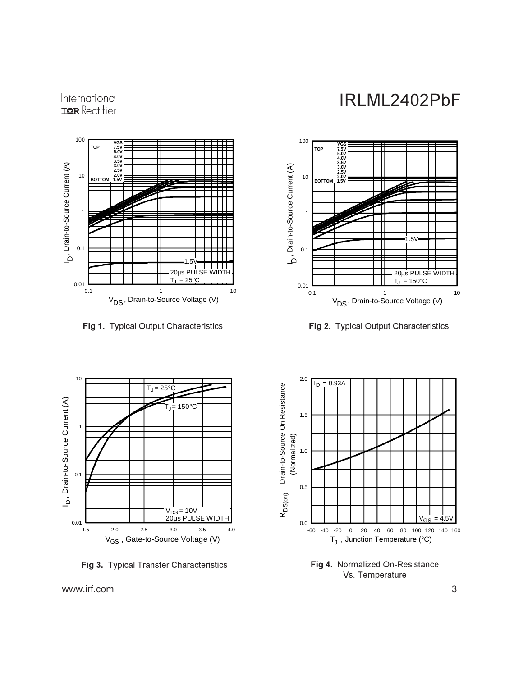



**Fig 1.** Typical Output Characteristics **Figure 1. 1997** 



g 2. Typical Output Characteristics



Fig 3. Typical Transfer Characteristics



**Fig 4.** Normalized On-Resistance Vs. Temperature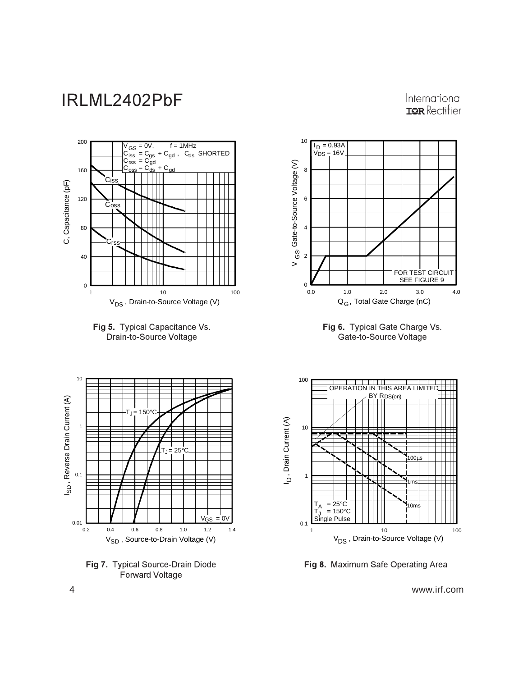International **ISPR** Rectifier











**Fig 7.** Typical Source-Drain Diode Forward Voltage



Fig 8. Maximum Safe Operating Area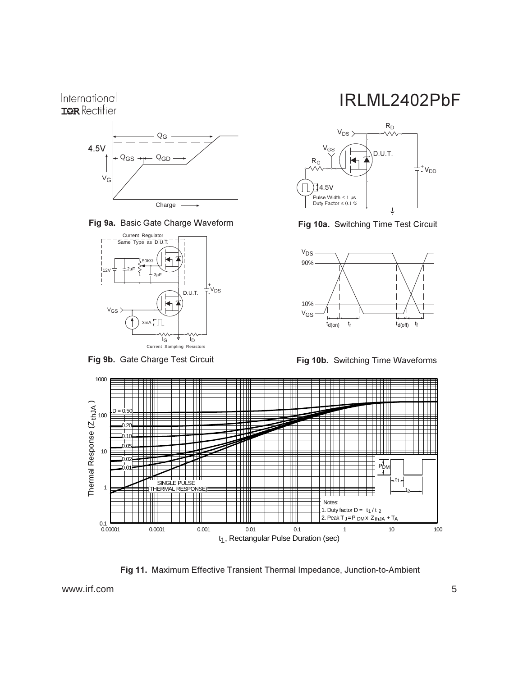### International **IGR** Rectifier



Fig 9a. Basic Gate Charge Waveform



Fig 9b. Gate Charge Test Circuit

## IRLML2402PbF



Fig 10a. Switching Time Test Circuit



**Fig 10b.** Switching Time Waveforms



Fig 11. Maximum Effective Transient Thermal Impedance, Junction-to-Ambient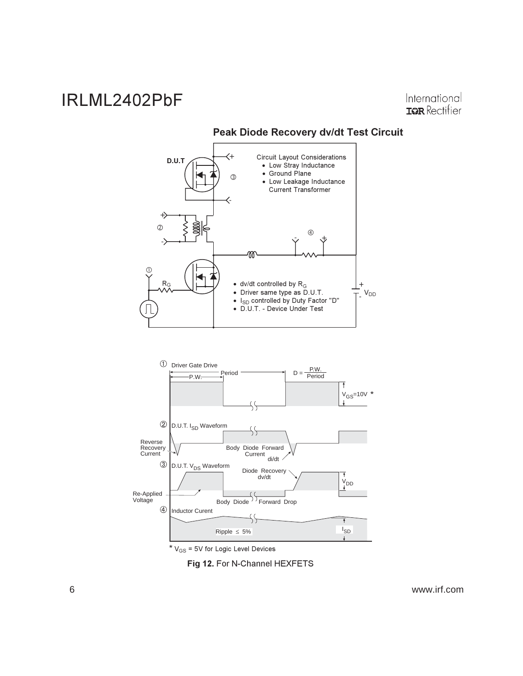International **IGR** Rectifier



Peak Diode Recovery dv/dt Test Circuit



\*  $V_{GS}$  = 5V for Logic Level Devices

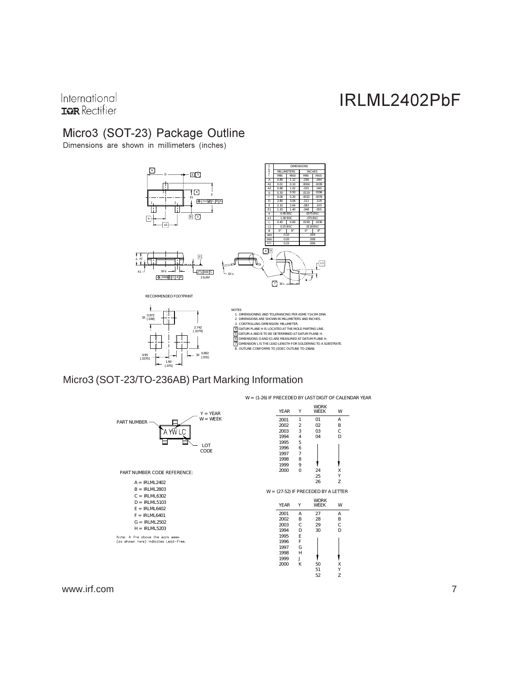International **IGR** Rectifier

### Micro3 (SOT-23) Package Outline

Dimensions are shown in millimeters (inches)



### Micro3 (SOT-23/TO-236AB) Part Marking Information



W = (1-26) IF PRECEDED BY LAST DIGIT OF CALENDAR YEAR

X Y Z

1

W

X Y

D

A B W

> B C A